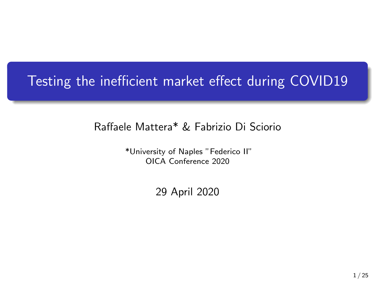## Testing the inefficient market effect during COVID19

#### Raffaele Mattera\* & Fabrizio Di Sciorio

\*University of Naples "Federico II" OICA Conference 2020

29 April 2020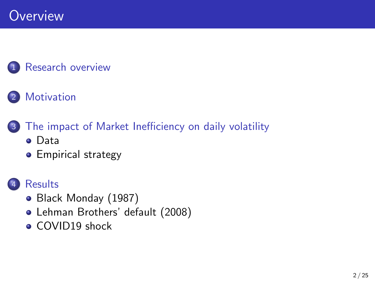### [Research overview](#page-2-0)

### 2 [Motivation](#page-3-0)

- 3 [The impact of Market Inefficiency on daily volatility](#page-5-0) [Data](#page-5-0)
	- **•** [Empirical strategy](#page-6-0)



### **[Results](#page-9-0)**

- [Black Monday \(1987\)](#page-10-0)
- [Lehman Brothers' default \(2008\)](#page-14-0)
- [COVID19 shock](#page-18-0)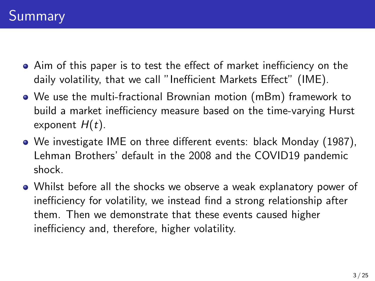- <span id="page-2-0"></span>Aim of this paper is to test the effect of market inefficiency on the daily volatility, that we call "Inefficient Markets Effect" (IME).
- We use the multi-fractional Brownian motion (mBm) framework to build a market inefficiency measure based on the time-varying Hurst exponent  $H(t)$ .
- We investigate IME on three different events: black Monday (1987), Lehman Brothers' default in the 2008 and the COVID19 pandemic shock.
- Whilst before all the shocks we observe a weak explanatory power of inefficiency for volatility, we instead find a strong relationship after them. Then we demonstrate that these events caused higher inefficiency and, therefore, higher volatility.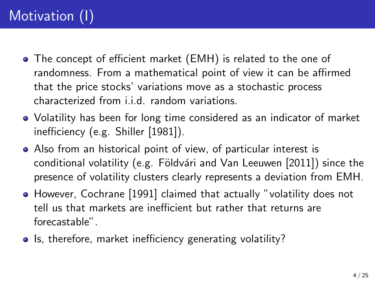## <span id="page-3-0"></span>Motivation (I)

- The concept of efficient market (EMH) is related to the one of randomness. From a mathematical point of view it can be affirmed that the price stocks' variations move as a stochastic process characterized from i.i.d. random variations.
- Volatility has been for long time considered as an indicator of market inefficiency (e.g. [Shiller \[1981\]](#page-24-0)).
- Also from an historical point of view, of particular interest is conditional volatility (e.g. Földvári and Van Leeuwen [2011]) since the presence of volatility clusters clearly represents a deviation from EMH.
- However, [Cochrane \[1991\]](#page-23-1) claimed that actually "volatility does not tell us that markets are inefficient but rather that returns are forecastable".
- Is, therefore, market inefficiency generating volatility?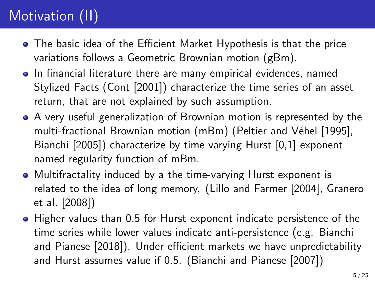## Motivation (II)

- The basic idea of the Efficient Market Hypothesis is that the price variations follows a Geometric Brownian motion (gBm).
- **In financial literature there are many empirical evidences, named** Stylized Facts [\(Cont \[2001\]](#page-23-2)) characterize the time series of an asset return, that are not explained by such assumption.
- A very useful generalization of Brownian motion is represented by the multi-fractional Brownian motion (mBm) (Peltier and Véhel [1995], [Bianchi \[2005\]](#page-22-0)) characterize by time varying Hurst [0,1] exponent named regularity function of mBm.
- Multifractality induced by a the time-varying Hurst exponent is related to the idea of long memory. [\(Lillo and Farmer \[2004\]](#page-24-2), [Granero](#page-24-3) [et al. \[2008\]](#page-24-3))
- Higher values than 0.5 for Hurst exponent indicate persistence of the time series while lower values indicate anti-persistence (e.g. [Bianchi](#page-22-1) [and Pianese \[2018\]](#page-22-1)). Under efficient markets we have unpredictability and Hurst assumes value if 0.5. [\(Bianchi and Pianese \[2007\]](#page-22-2))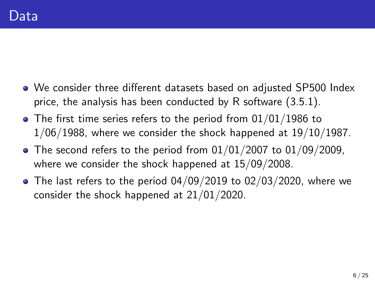- <span id="page-5-0"></span>We consider three different datasets based on adjusted SP500 Index price, the analysis has been conducted by R software (3.5.1).
- $\bullet$  The first time series refers to the period from 01/01/1986 to  $1/06/1988$ , where we consider the shock happened at  $19/10/1987$ .
- $\bullet$  The second refers to the period from 01/01/2007 to 01/09/2009, where we consider the shock happened at 15/09/2008.
- The last refers to the period 04/09/2019 to 02/03/2020, where we consider the shock happened at 21/01/2020.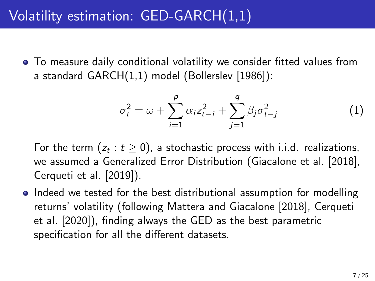### <span id="page-6-0"></span>Volatility estimation: GED-GARCH(1,1)

To measure daily conditional volatility we consider fitted values from a standard GARCH(1,1) model [\(Bollerslev \[1986\]](#page-22-3)):

$$
\sigma_t^2 = \omega + \sum_{i=1}^p \alpha_i z_{t-i}^2 + \sum_{j=1}^q \beta_j \sigma_{t-j}^2
$$
 (1)

For the term  $(z_t:t\geq0)$ , a stochastic process with i.i.d. realizations, we assumed a Generalized Error Distribution [\(Giacalone et al. \[2018\]](#page-23-3), [Cerqueti et al. \[2019\]](#page-22-4)).

• Indeed we tested for the best distributional assumption for modelling returns' volatility (following [Mattera and Giacalone \[2018\]](#page-24-4), [Cerqueti](#page-23-4) [et al. \[2020\]](#page-23-4)), finding always the GED as the best parametric specification for all the different datasets.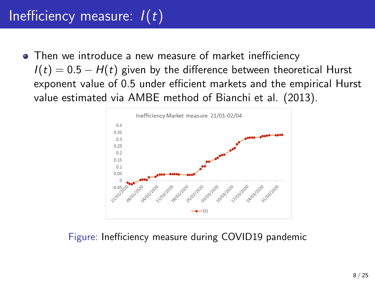## Inefficiency measure:  $I(t)$

• Then we introduce a new measure of market inefficiency  $I(t) = 0.5 - H(t)$  given by the difference between theoretical Hurst exponent value of 0.5 under efficient markets and the empirical Hurst value estimated via AMBE method of Bianchi et al. (2013).



Figure: Inefficiency measure during COVID19 pandemic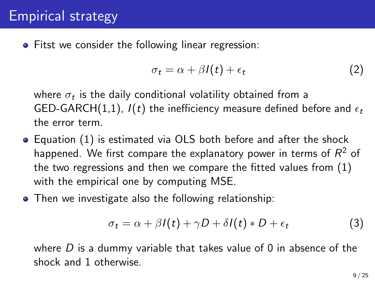**•** Fitst we consider the following linear regression:

$$
\sigma_t = \alpha + \beta I(t) + \epsilon_t \tag{2}
$$

where  $\sigma_t$  is the daily conditional volatility obtained from a GED-GARCH(1,1),  $I(t)$  the inefficiency measure defined before and  $\epsilon_t$ the error term.

- Equation (1) is estimated via OLS both before and after the shock happened. We first compare the explanatory power in terms of  $\mathsf{R}^2$  of the two regressions and then we compare the fitted values from (1) with the empirical one by computing MSE.
- Then we investigate also the following relationship:

$$
\sigma_t = \alpha + \beta I(t) + \gamma D + \delta I(t) * D + \epsilon_t \tag{3}
$$

where  $D$  is a dummy variable that takes value of 0 in absence of the shock and 1 otherwise.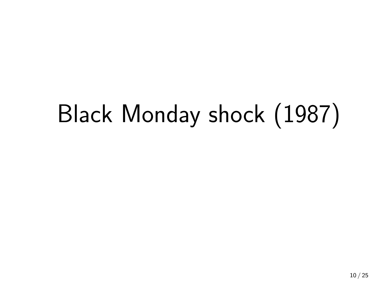## <span id="page-9-0"></span>Black Monday shock (1987)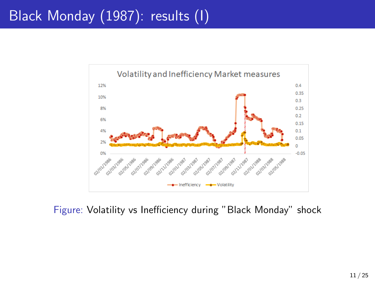### <span id="page-10-0"></span>Black Monday (1987): results (I)



Figure: Volatility vs Inefficiency during "Black Monday" shock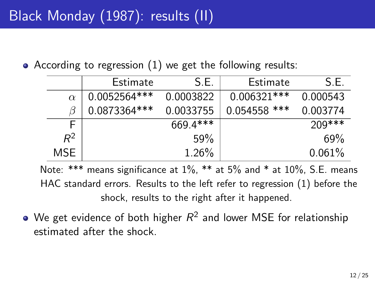According to regression (1) we get the following results:

|          | Estimate      | S.E.       | Estimate       | S.E.      |
|----------|---------------|------------|----------------|-----------|
| $\alpha$ | 0.0052564***  | 0.0003822  | $0.006321***$  | 0.000543  |
| ß        | 0.0873364 *** | 0.0033755  | $0.054558$ *** | 0.003774  |
| F        |               | $669.4***$ |                | $209***$  |
| $R^2$    |               | 59%        |                | 69%       |
| MSE.     |               | 1.26%      |                | $0.061\%$ |

Note: \*\*\* means significance at  $1\%$ , \*\* at  $5\%$  and \* at  $10\%$ , S.E. means HAC standard errors. Results to the left refer to regression (1) before the shock, results to the right after it happened.

We get evidence of both higher  $R^2$  and lower MSE for relationship estimated after the shock.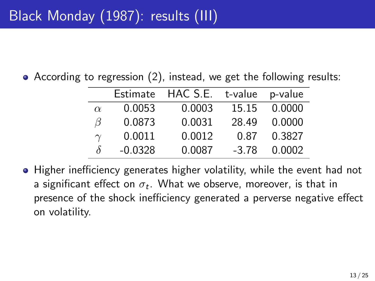According to regression (2), instead, we get the following results:

|           | Estimate  | HAC S.E. |         | t-value p-value |
|-----------|-----------|----------|---------|-----------------|
| $\alpha$  | 0.0053    | 0.0003   | 15.15   | 0.0000          |
| ß         | 0.0873    | 0.0031   | 28.49   | 0.0000          |
| $\gamma$  | 0.0011    | 0.0012   | 0.87    | 0.3827          |
| $\lambda$ | $-0.0328$ | 0.0087   | $-3.78$ | 0.0002          |

• Higher inefficiency generates higher volatility, while the event had not a significant effect on  $\sigma_t.$  What we observe, moreover, is that in presence of the shock inefficiency generated a perverse negative effect on volatility.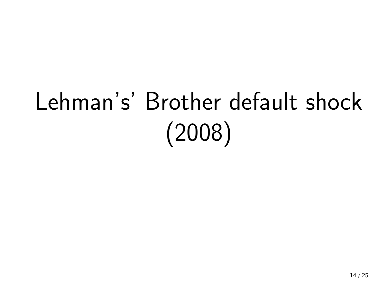# Lehman's' Brother default shock (2008)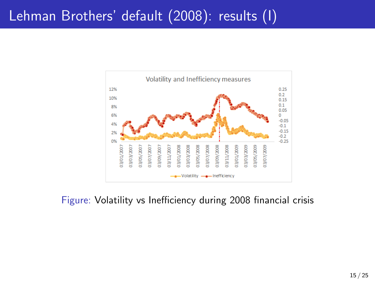### <span id="page-14-0"></span>Lehman Brothers' default (2008): results (I)



Figure: Volatility vs Inefficiency during 2008 financial crisis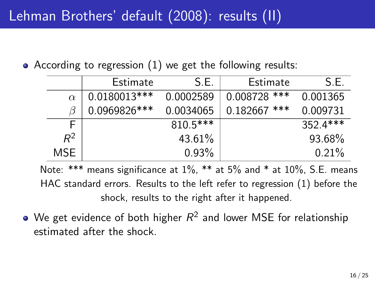According to regression (1) we get the following results:

|          | Estimate      | S F        | Estimate       | S.E.       |
|----------|---------------|------------|----------------|------------|
| $\alpha$ | 0.0180013***  | 0.0002589  | $0.008728$ *** | 0.001365   |
| ß        | 0.0969826 *** | 0.0034065  | $0.182667$ *** | 0.009731   |
| F        |               | $810.5***$ |                | $352.4***$ |
| $R^2$    |               | 43.61%     |                | 93.68%     |
| MSE.     |               | 0.93%      |                | 0.21%      |

Note: \*\*\* means significance at  $1\%$ , \*\* at  $5\%$  and \* at  $10\%$ , S.E. means HAC standard errors. Results to the left refer to regression (1) before the shock, results to the right after it happened.

We get evidence of both higher  $R^2$  and lower MSE for relationship estimated after the shock.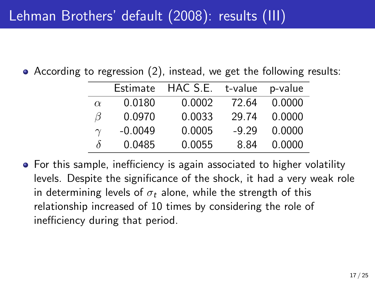### Lehman Brothers' default (2008): results (III)

According to regression (2), instead, we get the following results:

| Estimate  |        | t-value  | p-value |
|-----------|--------|----------|---------|
| 0.0180    | 0.0002 | 72.64    | 0.0000  |
| 0.0970    | 0.0033 | 29.74    | 0.0000  |
| $-0.0049$ | 0.0005 | $-9.29$  | 0.0000  |
| 0.0485    | 0.0055 | 8.84     | 0.0000  |
|           |        | HAC S.E. |         |

• For this sample, inefficiency is again associated to higher volatility levels. Despite the significance of the shock, it had a very weak role in determining levels of  $\sigma_t$  alone, while the strength of this relationship increased of 10 times by considering the role of inefficiency during that period.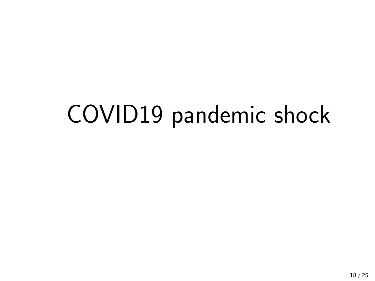## COVID19 pandemic shock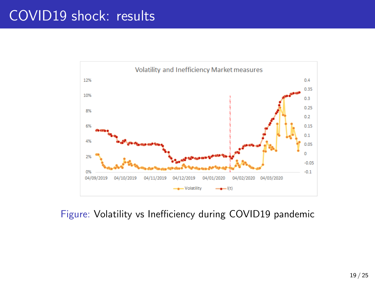### <span id="page-18-0"></span>COVID19 shock: results



#### Figure: Volatility vs Inefficiency during COVID19 pandemic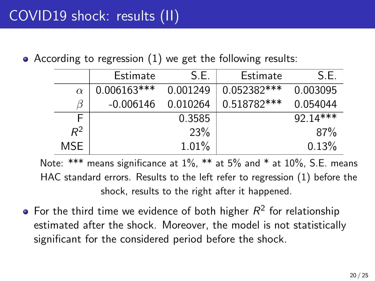• According to regression (1) we get the following results:

|            | Estimate      | S.E.       | Estimate    | S.E.       |
|------------|---------------|------------|-------------|------------|
| $\alpha$   | $0.006163***$ | 0.001249   | 0.052382*** | 0.003095   |
| ß          | $-0.006146$   | 0.010264   | 0.518782*** | 0.054044   |
| F          |               | 0.3585     |             | $92.14***$ |
| $R^2$      |               | <b>23%</b> |             | 87%        |
| <b>MSE</b> |               | 1.01%      |             | 0.13%      |

Note: \*\*\* means significance at 1%, \*\* at 5% and \* at 10%, S.E. means HAC standard errors. Results to the left refer to regression (1) before the shock, results to the right after it happened.

For the third time we evidence of both higher  $R^2$  for relationship estimated after the shock. Moreover, the model is not statistically significant for the considered period before the shock.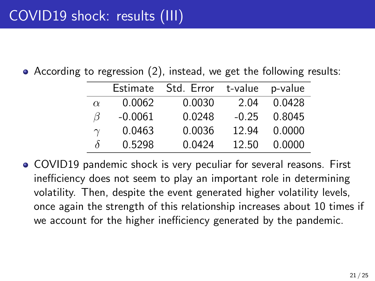According to regression (2), instead, we get the following results:

|          | Estimate  | Std. Error t-value |         | p-value |
|----------|-----------|--------------------|---------|---------|
| $\alpha$ | 0.0062    | 0.0030             | 2.04    | 0.0428  |
| ß        | $-0.0061$ | 0.0248             | $-0.25$ | 0.8045  |
| $\gamma$ | 0.0463    | 0.0036             | 12.94   | 0.0000  |
| δ        | 0.5298    | 0.0424             | 12.50   | 0.0000  |

COVID19 pandemic shock is very peculiar for several reasons. First inefficiency does not seem to play an important role in determining volatility. Then, despite the event generated higher volatility levels, once again the strength of this relationship increases about 10 times if we account for the higher inefficiency generated by the pandemic.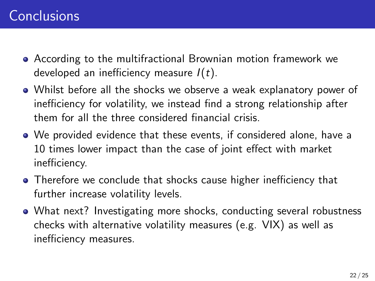- According to the multifractional Brownian motion framework we developed an inefficiency measure  $I(t)$ .
- Whilst before all the shocks we observe a weak explanatory power of inefficiency for volatility, we instead find a strong relationship after them for all the three considered financial crisis.
- We provided evidence that these events, if considered alone, have a 10 times lower impact than the case of joint effect with market inefficiency.
- Therefore we conclude that shocks cause higher inefficiency that further increase volatility levels.
- What next? Investigating more shocks, conducting several robustness checks with alternative volatility measures (e.g. VIX) as well as inefficiency measures.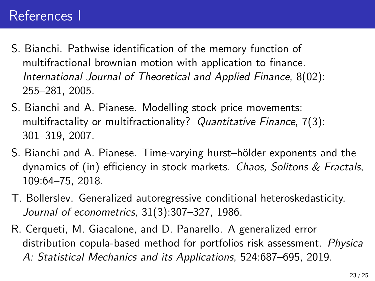### References I

- <span id="page-22-0"></span>S. Bianchi. Pathwise identification of the memory function of multifractional brownian motion with application to finance. International Journal of Theoretical and Applied Finance, 8(02): 255–281, 2005.
- <span id="page-22-2"></span>S. Bianchi and A. Pianese. Modelling stock price movements: multifractality or multifractionality? Quantitative Finance, 7(3): 301–319, 2007.
- <span id="page-22-1"></span>S. Bianchi and A. Pianese. Time-varying hurst–hölder exponents and the dynamics of (in) efficiency in stock markets. Chaos, Solitons & Fractals, 109:64–75, 2018.
- <span id="page-22-3"></span>T. Bollerslev. Generalized autoregressive conditional heteroskedasticity. Journal of econometrics, 31(3):307–327, 1986.
- <span id="page-22-4"></span>R. Cerqueti, M. Giacalone, and D. Panarello. A generalized error distribution copula-based method for portfolios risk assessment. Physica A: Statistical Mechanics and its Applications, 524:687–695, 2019.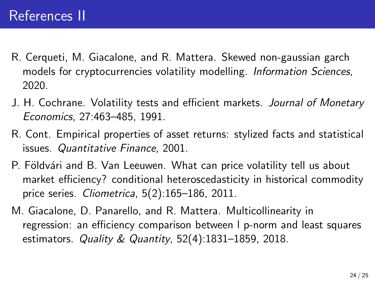- <span id="page-23-4"></span>R. Cerqueti, M. Giacalone, and R. Mattera. Skewed non-gaussian garch models for cryptocurrencies volatility modelling. Information Sciences, 2020.
- <span id="page-23-1"></span>J. H. Cochrane. Volatility tests and efficient markets. Journal of Monetary Economics, 27:463–485, 1991.
- <span id="page-23-2"></span>R. Cont. Empirical properties of asset returns: stylized facts and statistical issues. Quantitative Finance, 2001.
- <span id="page-23-0"></span>P. Földvári and B. Van Leeuwen. What can price volatility tell us about market efficiency? conditional heteroscedasticity in historical commodity price series. Cliometrica, 5(2):165–186, 2011.
- <span id="page-23-3"></span>M. Giacalone, D. Panarello, and R. Mattera. Multicollinearity in regression: an efficiency comparison between l p-norm and least squares estimators. Quality & Quantity,  $52(4)$ :1831-1859, 2018.